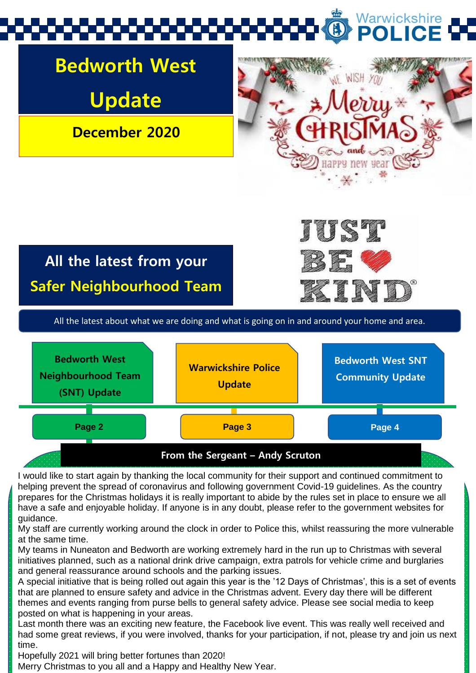

**December 2020**

### **All the latest from your Safer Neighbourhood Team**

All the latest about what we are doing and what is going on in and around your home and area.

UST



I would like to start again by thanking the local community for their support and continued commitment to helping prevent the spread of coronavirus and following government Covid-19 guidelines. As the country prepares for the Christmas holidays it is really important to abide by the rules set in place to ensure we all have a safe and enjoyable holiday. If anyone is in any doubt, please refer to the government websites for guidance.

My staff are currently working around the clock in order to Police this, whilst reassuring the more vulnerable at the same time.

My teams in Nuneaton and Bedworth are working extremely hard in the run up to Christmas with several initiatives planned, such as a national drink drive campaign, extra patrols for vehicle crime and burglaries and general reassurance around schools and the parking issues.

A special initiative that is being rolled out again this year is the '12 Days of Christmas', this is a set of events that are planned to ensure safety and advice in the Christmas advent. Every day there will be different themes and events ranging from purse bells to general safety advice. Please see social media to keep posted on what is happening in your areas.

Last month there was an exciting new feature, the Facebook live event. This was really well received and had some great reviews, if you were involved, thanks for your participation, if not, please try and join us next time.

Hopefully 2021 will bring better fortunes than 2020!

Merry Christmas to you all and a Happy and Healthy New Year.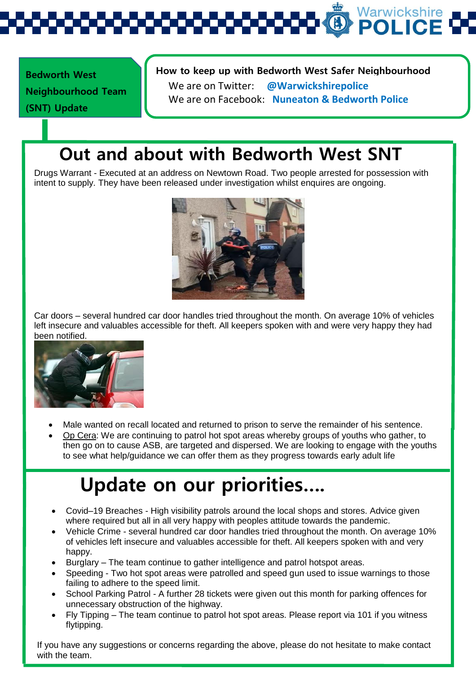

**Bedworth West Neighbourhood Team (SNT) Update** 

#### **How to keep up with Bedworth West Safer Neighbourhood Team** We are on Twitter: **@Warwickshirepolice** We are on Facebook: **Nuneaton & Bedworth Police**

**Out and about with Bedworth West SNT**

Drugs Warrant - Executed at an address on Newtown Road. Two people arrested for possession with intent to supply. They have been released under investigation whilst enquires are ongoing.



Car doors – several hundred car door handles tried throughout the month. On average 10% of vehicles left insecure and valuables accessible for theft. All keepers spoken with and were very happy they had been notified.



- Male wanted on recall located and returned to prison to serve the remainder of his sentence.
- Op Cera: We are continuing to patrol hot spot areas whereby groups of youths who gather, to then go on to cause ASB, are targeted and dispersed. We are looking to engage with the youths to see what help/guidance we can offer them as they progress towards early adult life

# **Update on our priorities….**

- Covid–19 Breaches High visibility patrols around the local shops and stores. Advice given where required but all in all very happy with peoples attitude towards the pandemic.
- Vehicle Crime several hundred car door handles tried throughout the month. On average 10% of vehicles left insecure and valuables accessible for theft. All keepers spoken with and very happy.
- Burglary The team continue to gather intelligence and patrol hotspot areas.
- Speeding Two hot spot areas were patrolled and speed gun used to issue warnings to those failing to adhere to the speed limit.
- School Parking Patrol A further 28 tickets were given out this month for parking offences for unnecessary obstruction of the highway.
- Fly Tipping The team continue to patrol hot spot areas. Please report via 101 if you witness flytipping.

If you have any suggestions or concerns regarding the above, please do not hesitate to make contact with the team.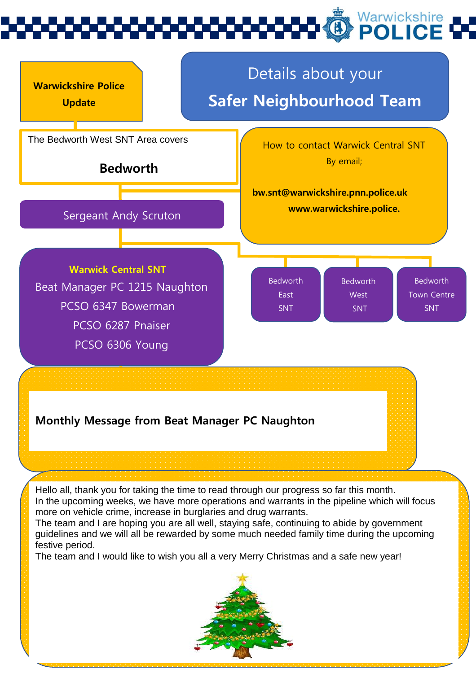# Warwickshire



### **Monthly Message from Beat Manager PC Naughton**

Hello all, thank you for taking the time to read through our progress so far this month. In the upcoming weeks, we have more operations and warrants in the pipeline which will focus more on vehicle crime, increase in burglaries and drug warrants.

The team and I are hoping you are all well, staying safe, continuing to abide by government guidelines and we will all be rewarded by some much needed family time during the upcoming festive period.

The team and I would like to wish you all a very Merry Christmas and a safe new year!